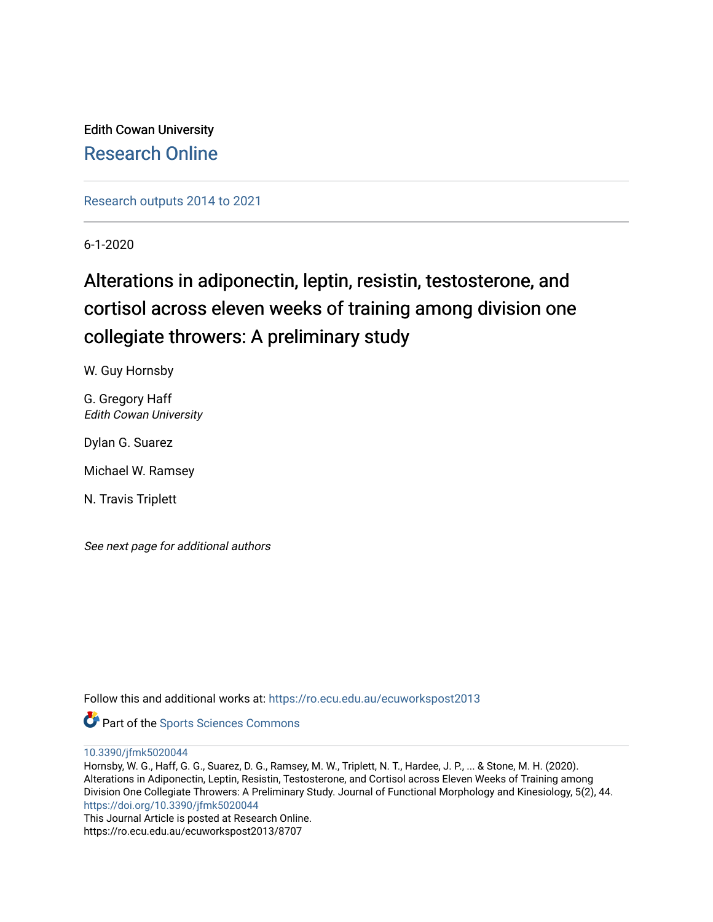Edith Cowan University [Research Online](https://ro.ecu.edu.au/) 

[Research outputs 2014 to 2021](https://ro.ecu.edu.au/ecuworkspost2013) 

6-1-2020

# Alterations in adiponectin, leptin, resistin, testosterone, and cortisol across eleven weeks of training among division one collegiate throwers: A preliminary study

W. Guy Hornsby

G. Gregory Haff Edith Cowan University

Dylan G. Suarez

Michael W. Ramsey

N. Travis Triplett

See next page for additional authors

Follow this and additional works at: [https://ro.ecu.edu.au/ecuworkspost2013](https://ro.ecu.edu.au/ecuworkspost2013?utm_source=ro.ecu.edu.au%2Fecuworkspost2013%2F8707&utm_medium=PDF&utm_campaign=PDFCoverPages) 



[10.3390/jfmk5020044](http://dx.doi.org/10.3390/jfmk5020044)

Hornsby, W. G., Haff, G. G., Suarez, D. G., Ramsey, M. W., Triplett, N. T., Hardee, J. P., ... & Stone, M. H. (2020). Alterations in Adiponectin, Leptin, Resistin, Testosterone, and Cortisol across Eleven Weeks of Training among Division One Collegiate Throwers: A Preliminary Study. Journal of Functional Morphology and Kinesiology, 5(2), 44. <https://doi.org/10.3390/jfmk5020044>

This Journal Article is posted at Research Online. https://ro.ecu.edu.au/ecuworkspost2013/8707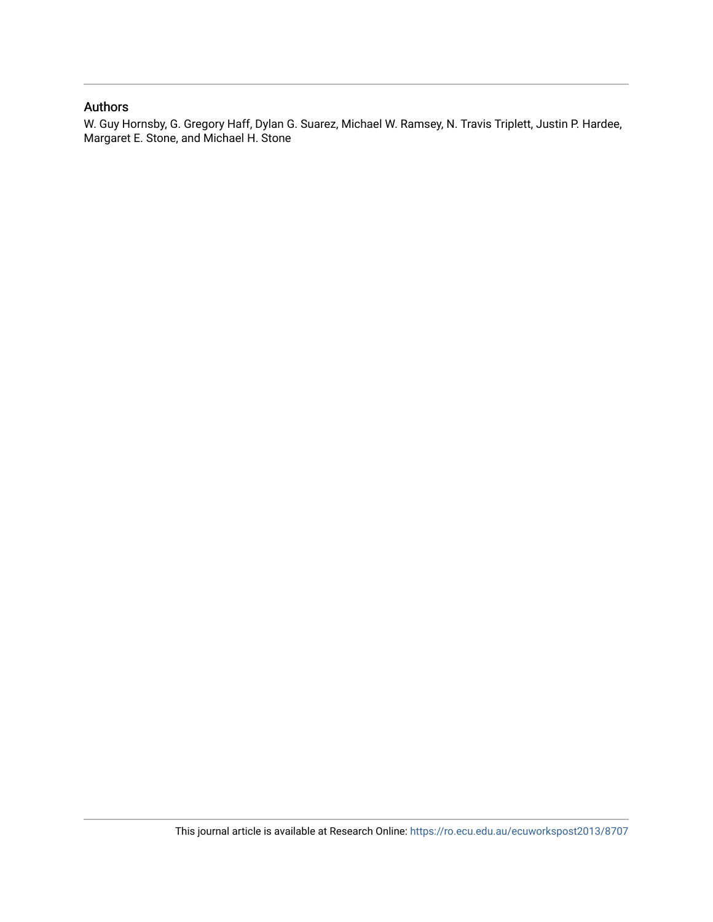## Authors

W. Guy Hornsby, G. Gregory Haff, Dylan G. Suarez, Michael W. Ramsey, N. Travis Triplett, Justin P. Hardee, Margaret E. Stone, and Michael H. Stone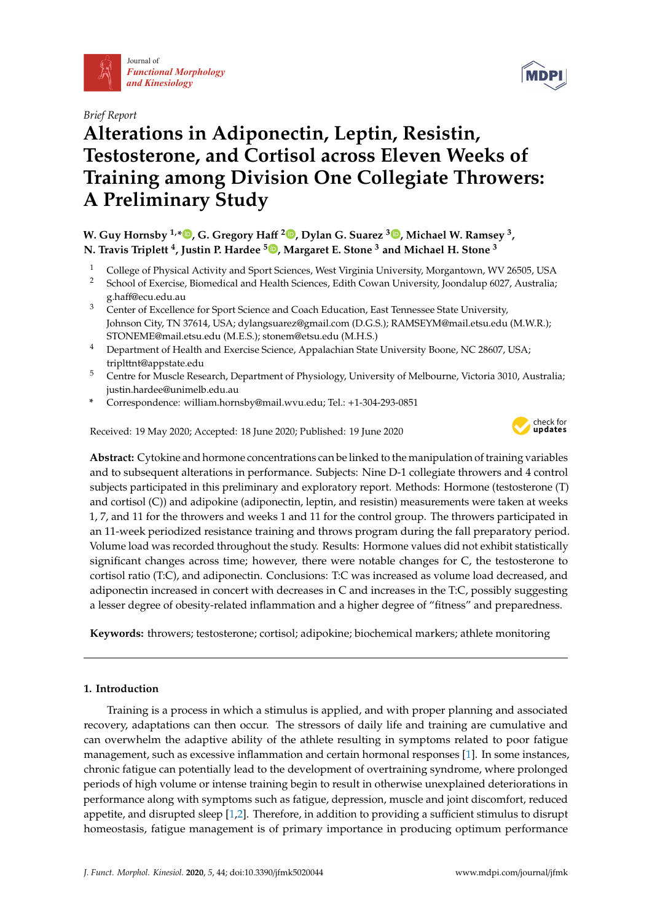





# **Alterations in Adiponectin, Leptin, Resistin, Testosterone, and Cortisol across Eleven Weeks of Training among Division One Collegiate Throwers: A Preliminary Study**

**W. Guy Hornsby 1,[\\*](https://orcid.org/0000-0001-6803-6200) , G. Gregory Ha**ff **2 [,](https://orcid.org/0000-0002-0676-7750) Dylan G. Suarez <sup>3</sup> [,](https://orcid.org/0000-0002-1223-9778) Michael W. Ramsey <sup>3</sup> , N. Travis Triplett <sup>4</sup> , Justin P. Hardee <sup>5</sup> [,](https://orcid.org/0000-0001-6469-9592) Margaret E. Stone <sup>3</sup> and Michael H. Stone <sup>3</sup>**

- 1 College of Physical Activity and Sport Sciences, West Virginia University, Morgantown, WV 26505, USA<br>2 School of Exercise, Biomedical and Health Sciences, Edith Cowan University, Joondalup 6027, Australia:
- <sup>2</sup> School of Exercise, Biomedical and Health Sciences, Edith Cowan University, Joondalup 6027, Australia; g.haff@ecu.edu.au
- <sup>3</sup> Center of Excellence for Sport Science and Coach Education, East Tennessee State University, Johnson City, TN 37614, USA; dylangsuarez@gmail.com (D.G.S.); RAMSEYM@mail.etsu.edu (M.W.R.); STONEME@mail.etsu.edu (M.E.S.); stonem@etsu.edu (M.H.S.)
- <sup>4</sup> Department of Health and Exercise Science, Appalachian State University Boone, NC 28607, USA; triplttnt@appstate.edu
- <sup>5</sup> Centre for Muscle Research, Department of Physiology, University of Melbourne, Victoria 3010, Australia; justin.hardee@unimelb.edu.au
- **\*** Correspondence: william.hornsby@mail.wvu.edu; Tel.: +1-304-293-0851

Received: 19 May 2020; Accepted: 18 June 2020; Published: 19 June 2020



**Abstract:** Cytokine and hormone concentrations can be linked to the manipulation of training variables and to subsequent alterations in performance. Subjects: Nine D-1 collegiate throwers and 4 control subjects participated in this preliminary and exploratory report. Methods: Hormone (testosterone (T) and cortisol (C)) and adipokine (adiponectin, leptin, and resistin) measurements were taken at weeks 1, 7, and 11 for the throwers and weeks 1 and 11 for the control group. The throwers participated in an 11-week periodized resistance training and throws program during the fall preparatory period. Volume load was recorded throughout the study. Results: Hormone values did not exhibit statistically significant changes across time; however, there were notable changes for C, the testosterone to cortisol ratio (T:C), and adiponectin. Conclusions: T:C was increased as volume load decreased, and adiponectin increased in concert with decreases in C and increases in the T:C, possibly suggesting a lesser degree of obesity-related inflammation and a higher degree of "fitness" and preparedness.

**Keywords:** throwers; testosterone; cortisol; adipokine; biochemical markers; athlete monitoring

## **1. Introduction**

Training is a process in which a stimulus is applied, and with proper planning and associated recovery, adaptations can then occur. The stressors of daily life and training are cumulative and can overwhelm the adaptive ability of the athlete resulting in symptoms related to poor fatigue management, such as excessive inflammation and certain hormonal responses [\[1\]](#page-13-0). In some instances, chronic fatigue can potentially lead to the development of overtraining syndrome, where prolonged periods of high volume or intense training begin to result in otherwise unexplained deteriorations in performance along with symptoms such as fatigue, depression, muscle and joint discomfort, reduced appetite, and disrupted sleep [\[1](#page-13-0)[,2\]](#page-13-1). Therefore, in addition to providing a sufficient stimulus to disrupt homeostasis, fatigue management is of primary importance in producing optimum performance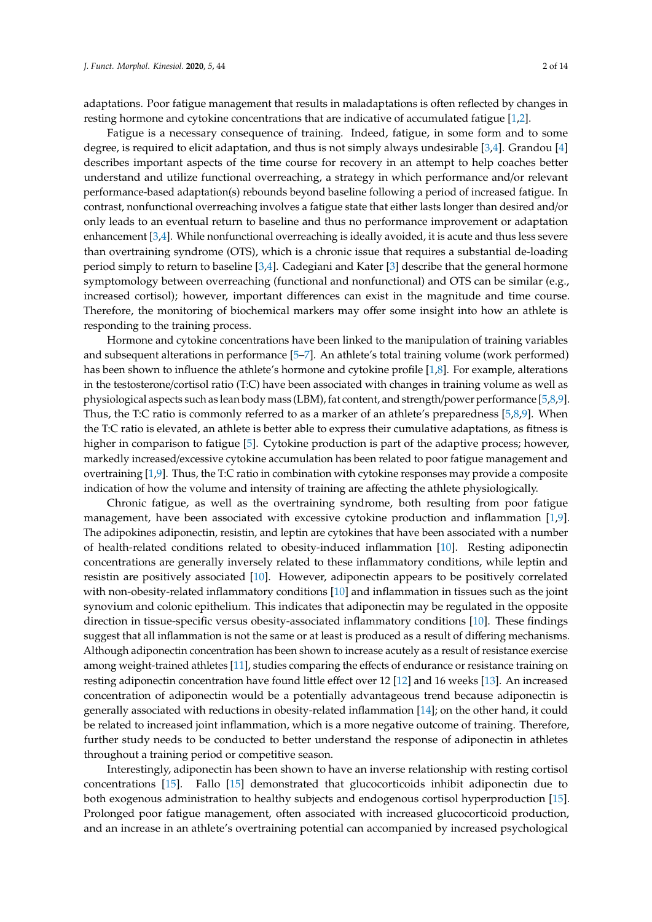adaptations. Poor fatigue management that results in maladaptations is often reflected by changes in resting hormone and cytokine concentrations that are indicative of accumulated fatigue [\[1](#page-13-0)[,2\]](#page-13-1).

Fatigue is a necessary consequence of training. Indeed, fatigue, in some form and to some degree, is required to elicit adaptation, and thus is not simply always undesirable [\[3,](#page-13-2)[4\]](#page-13-3). Grandou [\[4\]](#page-13-3) describes important aspects of the time course for recovery in an attempt to help coaches better understand and utilize functional overreaching, a strategy in which performance and/or relevant performance-based adaptation(s) rebounds beyond baseline following a period of increased fatigue. In contrast, nonfunctional overreaching involves a fatigue state that either lasts longer than desired and/or only leads to an eventual return to baseline and thus no performance improvement or adaptation enhancement [\[3,](#page-13-2)[4\]](#page-13-3). While nonfunctional overreaching is ideally avoided, it is acute and thus less severe than overtraining syndrome (OTS), which is a chronic issue that requires a substantial de-loading period simply to return to baseline [\[3](#page-13-2)[,4\]](#page-13-3). Cadegiani and Kater [\[3\]](#page-13-2) describe that the general hormone symptomology between overreaching (functional and nonfunctional) and OTS can be similar (e.g., increased cortisol); however, important differences can exist in the magnitude and time course. Therefore, the monitoring of biochemical markers may offer some insight into how an athlete is responding to the training process.

Hormone and cytokine concentrations have been linked to the manipulation of training variables and subsequent alterations in performance [\[5](#page-13-4)[–7\]](#page-13-5). An athlete's total training volume (work performed) has been shown to influence the athlete's hormone and cytokine profile [\[1,](#page-13-0)[8\]](#page-13-6). For example, alterations in the testosterone/cortisol ratio (T:C) have been associated with changes in training volume as well as physiological aspects such as lean body mass (LBM), fat content, and strength/power performance [\[5](#page-13-4)[,8](#page-13-6)[,9\]](#page-13-7). Thus, the T:C ratio is commonly referred to as a marker of an athlete's preparedness [\[5,](#page-13-4)[8,](#page-13-6)[9\]](#page-13-7). When the T:C ratio is elevated, an athlete is better able to express their cumulative adaptations, as fitness is higher in comparison to fatigue [\[5\]](#page-13-4). Cytokine production is part of the adaptive process; however, markedly increased/excessive cytokine accumulation has been related to poor fatigue management and overtraining [\[1,](#page-13-0)[9\]](#page-13-7). Thus, the T:C ratio in combination with cytokine responses may provide a composite indication of how the volume and intensity of training are affecting the athlete physiologically.

Chronic fatigue, as well as the overtraining syndrome, both resulting from poor fatigue management, have been associated with excessive cytokine production and inflammation [\[1,](#page-13-0)[9\]](#page-13-7). The adipokines adiponectin, resistin, and leptin are cytokines that have been associated with a number of health-related conditions related to obesity-induced inflammation [\[10\]](#page-13-8). Resting adiponectin concentrations are generally inversely related to these inflammatory conditions, while leptin and resistin are positively associated [\[10\]](#page-13-8). However, adiponectin appears to be positively correlated with non-obesity-related inflammatory conditions [\[10\]](#page-13-8) and inflammation in tissues such as the joint synovium and colonic epithelium. This indicates that adiponectin may be regulated in the opposite direction in tissue-specific versus obesity-associated inflammatory conditions [\[10\]](#page-13-8). These findings suggest that all inflammation is not the same or at least is produced as a result of differing mechanisms. Although adiponectin concentration has been shown to increase acutely as a result of resistance exercise among weight-trained athletes [\[11\]](#page-13-9), studies comparing the effects of endurance or resistance training on resting adiponectin concentration have found little effect over 12 [\[12\]](#page-13-10) and 16 weeks [\[13\]](#page-14-0). An increased concentration of adiponectin would be a potentially advantageous trend because adiponectin is generally associated with reductions in obesity-related inflammation [\[14\]](#page-14-1); on the other hand, it could be related to increased joint inflammation, which is a more negative outcome of training. Therefore, further study needs to be conducted to better understand the response of adiponectin in athletes throughout a training period or competitive season.

Interestingly, adiponectin has been shown to have an inverse relationship with resting cortisol concentrations [\[15\]](#page-14-2). Fallo [\[15\]](#page-14-2) demonstrated that glucocorticoids inhibit adiponectin due to both exogenous administration to healthy subjects and endogenous cortisol hyperproduction [\[15\]](#page-14-2). Prolonged poor fatigue management, often associated with increased glucocorticoid production, and an increase in an athlete's overtraining potential can accompanied by increased psychological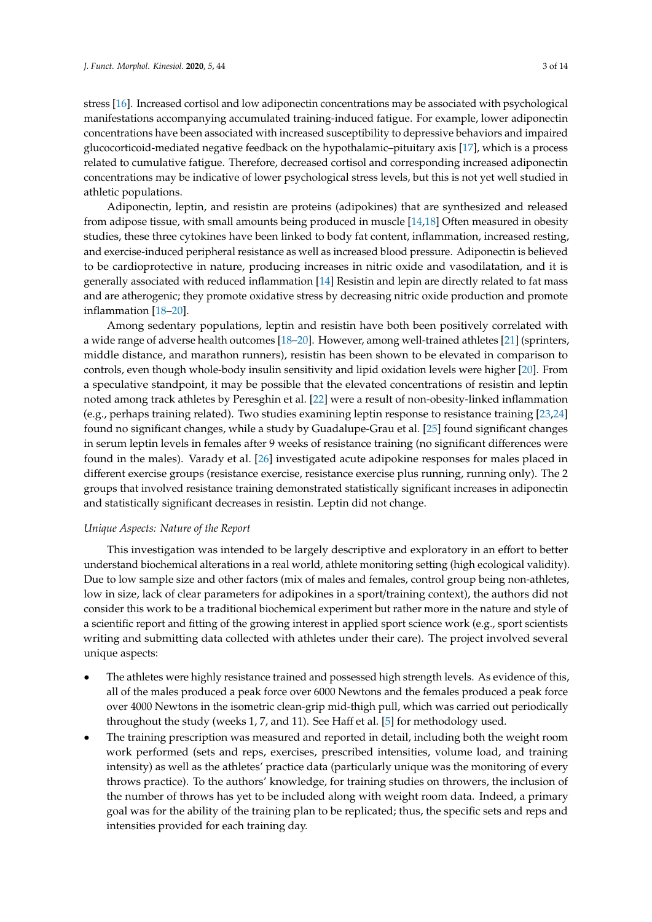stress [\[16\]](#page-14-3). Increased cortisol and low adiponectin concentrations may be associated with psychological manifestations accompanying accumulated training-induced fatigue. For example, lower adiponectin concentrations have been associated with increased susceptibility to depressive behaviors and impaired glucocorticoid-mediated negative feedback on the hypothalamic–pituitary axis [\[17\]](#page-14-4), which is a process related to cumulative fatigue. Therefore, decreased cortisol and corresponding increased adiponectin concentrations may be indicative of lower psychological stress levels, but this is not yet well studied in athletic populations.

Adiponectin, leptin, and resistin are proteins (adipokines) that are synthesized and released from adipose tissue, with small amounts being produced in muscle [\[14,](#page-14-1)[18\]](#page-14-5) Often measured in obesity studies, these three cytokines have been linked to body fat content, inflammation, increased resting, and exercise-induced peripheral resistance as well as increased blood pressure. Adiponectin is believed to be cardioprotective in nature, producing increases in nitric oxide and vasodilatation, and it is generally associated with reduced inflammation [\[14\]](#page-14-1) Resistin and lepin are directly related to fat mass and are atherogenic; they promote oxidative stress by decreasing nitric oxide production and promote inflammation [\[18–](#page-14-5)[20\]](#page-14-6).

Among sedentary populations, leptin and resistin have both been positively correlated with a wide range of adverse health outcomes [\[18–](#page-14-5)[20\]](#page-14-6). However, among well-trained athletes [\[21\]](#page-14-7) (sprinters, middle distance, and marathon runners), resistin has been shown to be elevated in comparison to controls, even though whole-body insulin sensitivity and lipid oxidation levels were higher [\[20\]](#page-14-6). From a speculative standpoint, it may be possible that the elevated concentrations of resistin and leptin noted among track athletes by Peresghin et al. [\[22\]](#page-14-8) were a result of non-obesity-linked inflammation (e.g., perhaps training related). Two studies examining leptin response to resistance training [\[23](#page-14-9)[,24\]](#page-14-10) found no significant changes, while a study by Guadalupe-Grau et al. [\[25\]](#page-14-11) found significant changes in serum leptin levels in females after 9 weeks of resistance training (no significant differences were found in the males). Varady et al. [\[26\]](#page-14-12) investigated acute adipokine responses for males placed in different exercise groups (resistance exercise, resistance exercise plus running, running only). The 2 groups that involved resistance training demonstrated statistically significant increases in adiponectin and statistically significant decreases in resistin. Leptin did not change.

## *Unique Aspects: Nature of the Report*

This investigation was intended to be largely descriptive and exploratory in an effort to better understand biochemical alterations in a real world, athlete monitoring setting (high ecological validity). Due to low sample size and other factors (mix of males and females, control group being non-athletes, low in size, lack of clear parameters for adipokines in a sport/training context), the authors did not consider this work to be a traditional biochemical experiment but rather more in the nature and style of a scientific report and fitting of the growing interest in applied sport science work (e.g., sport scientists writing and submitting data collected with athletes under their care). The project involved several unique aspects:

- The athletes were highly resistance trained and possessed high strength levels. As evidence of this, all of the males produced a peak force over 6000 Newtons and the females produced a peak force over 4000 Newtons in the isometric clean-grip mid-thigh pull, which was carried out periodically throughout the study (weeks 1, 7, and 11). See Haff et al. [\[5\]](#page-13-4) for methodology used.
- The training prescription was measured and reported in detail, including both the weight room work performed (sets and reps, exercises, prescribed intensities, volume load, and training intensity) as well as the athletes' practice data (particularly unique was the monitoring of every throws practice). To the authors' knowledge, for training studies on throwers, the inclusion of the number of throws has yet to be included along with weight room data. Indeed, a primary goal was for the ability of the training plan to be replicated; thus, the specific sets and reps and intensities provided for each training day.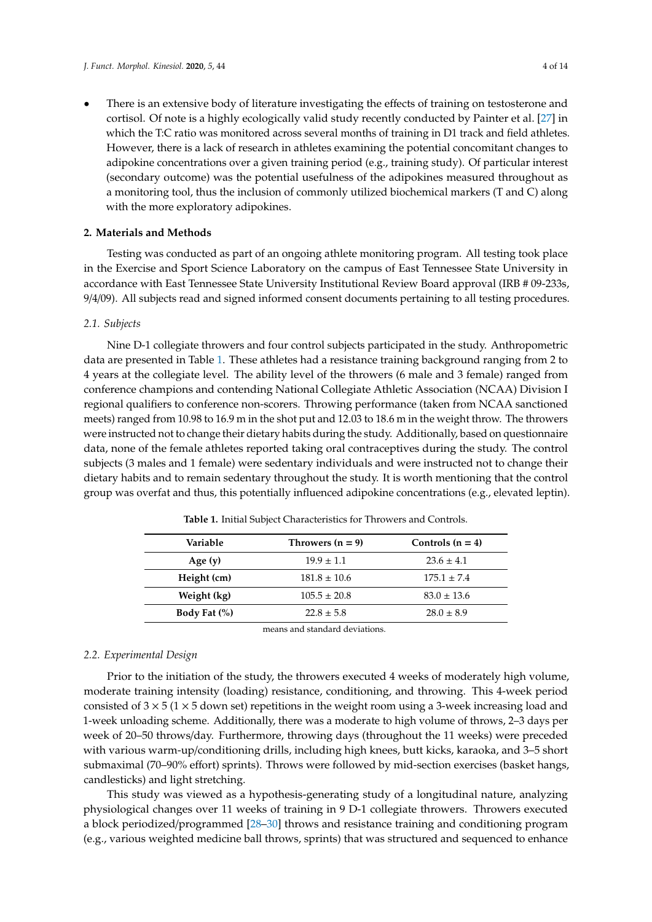There is an extensive body of literature investigating the effects of training on testosterone and cortisol. Of note is a highly ecologically valid study recently conducted by Painter et al. [\[27\]](#page-14-13) in which the T:C ratio was monitored across several months of training in D1 track and field athletes. However, there is a lack of research in athletes examining the potential concomitant changes to adipokine concentrations over a given training period (e.g., training study). Of particular interest (secondary outcome) was the potential usefulness of the adipokines measured throughout as a monitoring tool, thus the inclusion of commonly utilized biochemical markers (T and C) along with the more exploratory adipokines.

#### **2. Materials and Methods**

Testing was conducted as part of an ongoing athlete monitoring program. All testing took place in the Exercise and Sport Science Laboratory on the campus of East Tennessee State University in accordance with East Tennessee State University Institutional Review Board approval (IRB # 09-233s, 9/4/09). All subjects read and signed informed consent documents pertaining to all testing procedures.

#### *2.1. Subjects*

Nine D-1 collegiate throwers and four control subjects participated in the study. Anthropometric data are presented in Table [1.](#page-5-0) These athletes had a resistance training background ranging from 2 to 4 years at the collegiate level. The ability level of the throwers (6 male and 3 female) ranged from conference champions and contending National Collegiate Athletic Association (NCAA) Division I regional qualifiers to conference non-scorers. Throwing performance (taken from NCAA sanctioned meets) ranged from 10.98 to 16.9 m in the shot put and 12.03 to 18.6 m in the weight throw. The throwers were instructed not to change their dietary habits during the study. Additionally, based on questionnaire data, none of the female athletes reported taking oral contraceptives during the study. The control subjects (3 males and 1 female) were sedentary individuals and were instructed not to change their dietary habits and to remain sedentary throughout the study. It is worth mentioning that the control group was overfat and thus, this potentially influenced adipokine concentrations (e.g., elevated leptin).

<span id="page-5-0"></span>

| Variable         | Throwers $(n = 9)$                                                                                                                                                                                                                                                                                                            | Controls $(n = 4)$ |  |  |
|------------------|-------------------------------------------------------------------------------------------------------------------------------------------------------------------------------------------------------------------------------------------------------------------------------------------------------------------------------|--------------------|--|--|
| Age $(v)$        | $19.9 \pm 1.1$                                                                                                                                                                                                                                                                                                                | $23.6 \pm 4.1$     |  |  |
| Height (cm)      | $181.8 \pm 10.6$                                                                                                                                                                                                                                                                                                              | $175.1 \pm 7.4$    |  |  |
| Weight (kg)      | $105.5 \pm 20.8$                                                                                                                                                                                                                                                                                                              | $83.0 \pm 13.6$    |  |  |
| Body Fat $(\% )$ | $22.8 \pm 5.8$                                                                                                                                                                                                                                                                                                                | $28.0 \pm 8.9$     |  |  |
|                  | $\mathbf{1}$ . The $\mathbf{1}$ $\mathbf{1}$ $\mathbf{1}$ $\mathbf{1}$ $\mathbf{1}$ $\mathbf{1}$ $\mathbf{1}$ $\mathbf{1}$ $\mathbf{1}$ $\mathbf{1}$ $\mathbf{1}$ $\mathbf{1}$ $\mathbf{1}$ $\mathbf{1}$ $\mathbf{1}$ $\mathbf{1}$ $\mathbf{1}$ $\mathbf{1}$ $\mathbf{1}$ $\mathbf{1}$ $\mathbf{1}$ $\mathbf{1}$ $\mathbf{1}$ |                    |  |  |

**Table 1.** Initial Subject Characteristics for Throwers and Controls.

means and standard deviations.

### *2.2. Experimental Design*

Prior to the initiation of the study, the throwers executed 4 weeks of moderately high volume, moderate training intensity (loading) resistance, conditioning, and throwing. This 4-week period consisted of  $3 \times 5$  ( $1 \times 5$  down set) repetitions in the weight room using a 3-week increasing load and 1-week unloading scheme. Additionally, there was a moderate to high volume of throws, 2–3 days per week of 20–50 throws/day. Furthermore, throwing days (throughout the 11 weeks) were preceded with various warm-up/conditioning drills, including high knees, butt kicks, karaoka, and 3–5 short submaximal (70–90% effort) sprints). Throws were followed by mid-section exercises (basket hangs, candlesticks) and light stretching.

This study was viewed as a hypothesis-generating study of a longitudinal nature, analyzing physiological changes over 11 weeks of training in 9 D-1 collegiate throwers. Throwers executed a block periodized/programmed [\[28–](#page-14-14)[30\]](#page-14-15) throws and resistance training and conditioning program (e.g., various weighted medicine ball throws, sprints) that was structured and sequenced to enhance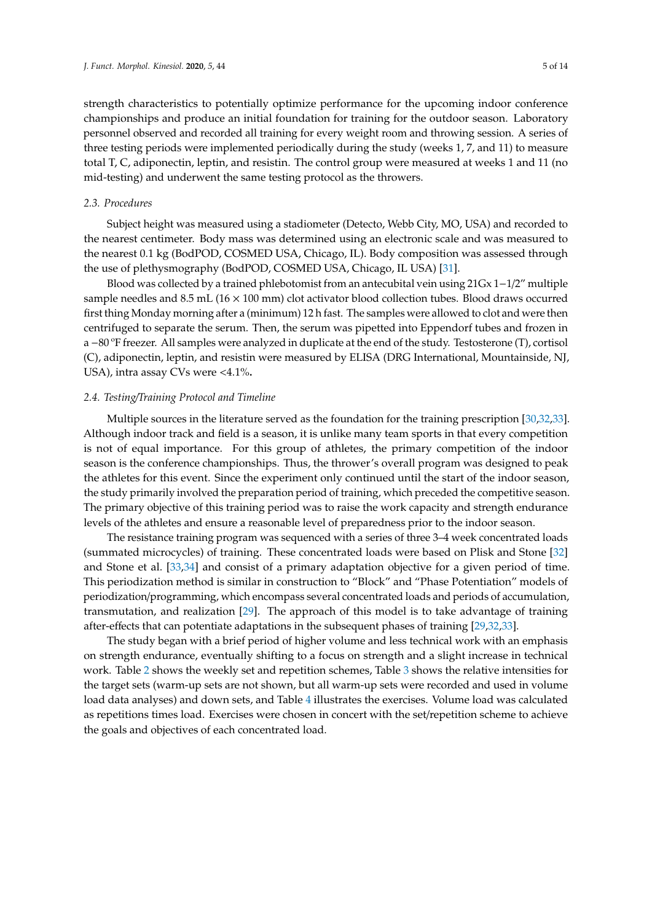strength characteristics to potentially optimize performance for the upcoming indoor conference championships and produce an initial foundation for training for the outdoor season. Laboratory personnel observed and recorded all training for every weight room and throwing session. A series of three testing periods were implemented periodically during the study (weeks 1, 7, and 11) to measure total T, C, adiponectin, leptin, and resistin. The control group were measured at weeks 1 and 11 (no mid-testing) and underwent the same testing protocol as the throwers.

#### *2.3. Procedures*

Subject height was measured using a stadiometer (Detecto, Webb City, MO, USA) and recorded to the nearest centimeter. Body mass was determined using an electronic scale and was measured to the nearest 0.1 kg (BodPOD, COSMED USA, Chicago, IL). Body composition was assessed through the use of plethysmography (BodPOD, COSMED USA, Chicago, IL USA) [\[31\]](#page-14-16).

Blood was collected by a trained phlebotomist from an antecubital vein using 21Gx 1−1/2" multiple sample needles and 8.5 mL ( $16 \times 100$  mm) clot activator blood collection tubes. Blood draws occurred first thing Monday morning after a (minimum) 12 h fast. The samples were allowed to clot and were then centrifuged to separate the serum. Then, the serum was pipetted into Eppendorf tubes and frozen in a −80 ºF freezer. All samples were analyzed in duplicate at the end of the study. Testosterone (T), cortisol (C), adiponectin, leptin, and resistin were measured by ELISA (DRG International, Mountainside, NJ, USA), intra assay CVs were <4.1%**.**

#### *2.4. Testing*/*Training Protocol and Timeline*

Multiple sources in the literature served as the foundation for the training prescription [\[30](#page-14-15)[,32](#page-14-17)[,33\]](#page-14-18). Although indoor track and field is a season, it is unlike many team sports in that every competition is not of equal importance. For this group of athletes, the primary competition of the indoor season is the conference championships. Thus, the thrower's overall program was designed to peak the athletes for this event. Since the experiment only continued until the start of the indoor season, the study primarily involved the preparation period of training, which preceded the competitive season. The primary objective of this training period was to raise the work capacity and strength endurance levels of the athletes and ensure a reasonable level of preparedness prior to the indoor season.

The resistance training program was sequenced with a series of three 3–4 week concentrated loads (summated microcycles) of training. These concentrated loads were based on Plisk and Stone [\[32\]](#page-14-17) and Stone et al. [\[33](#page-14-18)[,34\]](#page-14-19) and consist of a primary adaptation objective for a given period of time. This periodization method is similar in construction to "Block" and "Phase Potentiation" models of periodization/programming, which encompass several concentrated loads and periods of accumulation, transmutation, and realization [\[29\]](#page-14-20). The approach of this model is to take advantage of training after-effects that can potentiate adaptations in the subsequent phases of training [\[29](#page-14-20)[,32](#page-14-17)[,33\]](#page-14-18).

The study began with a brief period of higher volume and less technical work with an emphasis on strength endurance, eventually shifting to a focus on strength and a slight increase in technical work. Table [2](#page-7-0) shows the weekly set and repetition schemes, Table [3](#page-7-1) shows the relative intensities for the target sets (warm-up sets are not shown, but all warm-up sets were recorded and used in volume load data analyses) and down sets, and Table [4](#page-8-0) illustrates the exercises. Volume load was calculated as repetitions times load. Exercises were chosen in concert with the set/repetition scheme to achieve the goals and objectives of each concentrated load.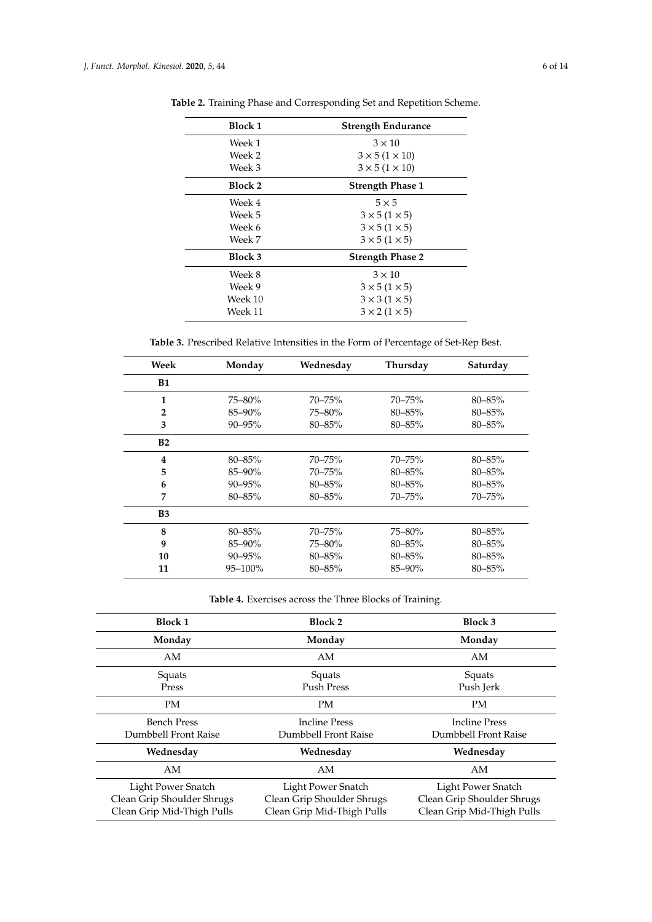| <b>Block 1</b> | <b>Strength Endurance</b>    |  |
|----------------|------------------------------|--|
| Week 1         | $3 \times 10$                |  |
| Week 2         | $3 \times 5$ (1 $\times$ 10) |  |
| Week 3         | $3 \times 5$ (1 $\times$ 10) |  |
| Block 2        | <b>Strength Phase 1</b>      |  |
| Week 4         | $5 \times 5$                 |  |
| Week 5         | $3 \times 5$ (1 $\times$ 5)  |  |
| Week 6         | $3 \times 5$ (1 $\times$ 5)  |  |
| Week 7         | $3 \times 5$ (1 $\times$ 5)  |  |
| Block 3        | <b>Strength Phase 2</b>      |  |
| Week 8         | $3 \times 10$                |  |
| Week 9         | $3 \times 5$ (1 $\times$ 5)  |  |
| Week 10        | $3 \times 3$ (1 $\times$ 5)  |  |
| Week 11        | $3 \times 2$ (1 $\times$ 5)  |  |

<span id="page-7-0"></span>**Table 2.** Training Phase and Corresponding Set and Repetition Scheme.

**Table 3.** Prescribed Relative Intensities in the Form of Percentage of Set-Rep Best.

<span id="page-7-1"></span>

| Week           | Monday      | Wednesday   | Thursday    | Saturday    |
|----------------|-------------|-------------|-------------|-------------|
| <b>B1</b>      |             |             |             |             |
| 1              | 75-80%      | $70 - 75%$  | $70 - 75%$  | $80 - 85%$  |
| $\overline{2}$ | 85-90%      | 75-80%      | $80 - 85\%$ | $80 - 85\%$ |
| 3              | $90 - 95\%$ | $80 - 85%$  | $80 - 85\%$ | 80-85%      |
| B2             |             |             |             |             |
| 4              | $80 - 85\%$ | $70 - 75%$  | $70 - 75%$  | $80 - 85\%$ |
| 5              | $85 - 90\%$ | $70 - 75%$  | $80 - 85\%$ | $80 - 85\%$ |
| 6              | $90 - 95\%$ | $80 - 85\%$ | $80 - 85\%$ | $80 - 85\%$ |
| 7              | $80 - 85\%$ | $80 - 85%$  | 70–75%      | 70-75%      |
| <b>B3</b>      |             |             |             |             |
| 8              | $80 - 85\%$ | $70 - 75%$  | 75–80%      | $80 - 85\%$ |
| 9              | 85-90%      | 75-80%      | $80 - 85\%$ | $80 - 85\%$ |
| 10             | $90 - 95\%$ | $80 - 85\%$ | $80 - 85\%$ | 80-85%      |
| 11             | 95-100%     | 80-85%      | 85-90%      | 80-85%      |

**Table 4.** Exercises across the Three Blocks of Training.

| <b>Block 1</b>             | <b>Block 2</b>             | <b>Block 3</b>             |
|----------------------------|----------------------------|----------------------------|
| Monday                     | Monday                     | Monday                     |
| AM                         | AM                         | AM                         |
| Squats                     | Squats                     | Squats                     |
| Press                      | Push Press                 | Push Jerk                  |
| <b>PM</b>                  | PM                         | <b>PM</b>                  |
| <b>Bench Press</b>         | <b>Incline Press</b>       | <b>Incline Press</b>       |
| Dumbbell Front Raise       | Dumbbell Front Raise       | Dumbbell Front Raise       |
| Wednesday                  | Wednesday                  | Wednesday                  |
| AM                         | AM                         | AM                         |
| Light Power Snatch         | Light Power Snatch         | Light Power Snatch         |
| Clean Grip Shoulder Shrugs | Clean Grip Shoulder Shrugs | Clean Grip Shoulder Shrugs |
| Clean Grip Mid-Thigh Pulls | Clean Grip Mid-Thigh Pulls | Clean Grip Mid-Thigh Pulls |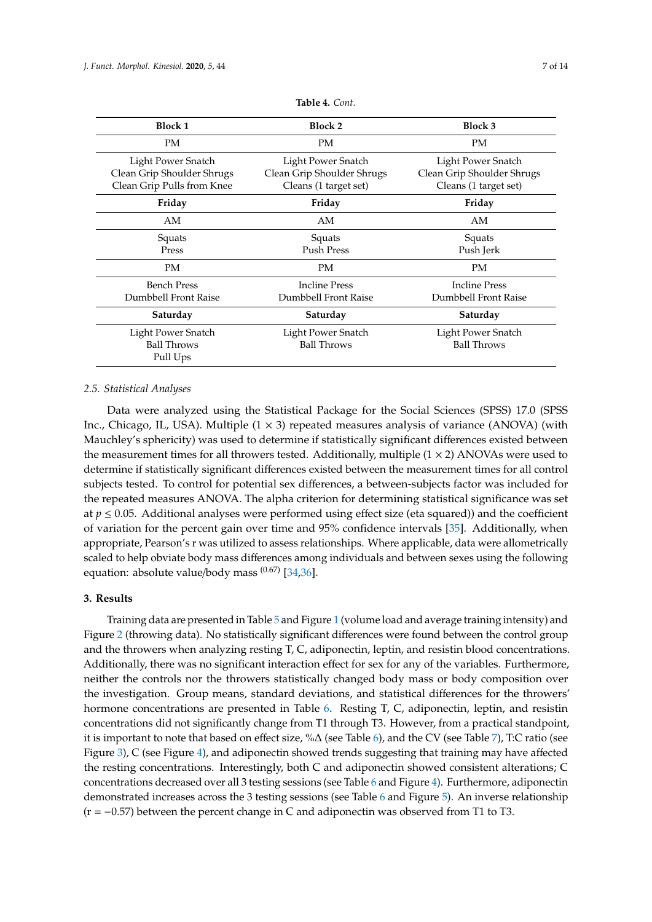<span id="page-8-0"></span>

| <b>Block 1</b>                                                                 | <b>Block 2</b>                                                            | <b>Block 3</b>                                                            |  |  |
|--------------------------------------------------------------------------------|---------------------------------------------------------------------------|---------------------------------------------------------------------------|--|--|
| PM                                                                             | PM                                                                        | <b>PM</b>                                                                 |  |  |
| Light Power Snatch<br>Clean Grip Shoulder Shrugs<br>Clean Grip Pulls from Knee | Light Power Snatch<br>Clean Grip Shoulder Shrugs<br>Cleans (1 target set) | Light Power Snatch<br>Clean Grip Shoulder Shrugs<br>Cleans (1 target set) |  |  |
| Friday                                                                         | Friday                                                                    | Friday                                                                    |  |  |
| AM                                                                             | AM                                                                        | AM                                                                        |  |  |
| Squats<br>Press                                                                | Squats<br><b>Push Press</b>                                               | Squats<br>Push Jerk                                                       |  |  |
| PM                                                                             | PM                                                                        | <b>PM</b>                                                                 |  |  |
| <b>Bench Press</b><br>Dumbbell Front Raise                                     | <b>Incline Press</b><br>Dumbbell Front Raise                              | <b>Incline Press</b><br>Dumbbell Front Raise                              |  |  |
| Saturday                                                                       | Saturday                                                                  | Saturday                                                                  |  |  |
| Light Power Snatch                                                             | Light Power Snatch                                                        | Light Power Snatch                                                        |  |  |

**Table 4.** *Cont.*

## *2.5. Statistical Analyses*

Pull Ups

Data were analyzed using the Statistical Package for the Social Sciences (SPSS) 17.0 (SPSS Inc., Chicago, IL, USA). Multiple  $(1 \times 3)$  repeated measures analysis of variance (ANOVA) (with Mauchley's sphericity) was used to determine if statistically significant differences existed between the measurement times for all throwers tested. Additionally, multiple  $(1 \times 2)$  ANOVAs were used to determine if statistically significant differences existed between the measurement times for all control subjects tested. To control for potential sex differences, a between-subjects factor was included for the repeated measures ANOVA. The alpha criterion for determining statistical significance was set at  $p \leq 0.05$ . Additional analyses were performed using effect size (eta squared)) and the coefficient of variation for the percent gain over time and 95% confidence intervals [\[35\]](#page-15-0). Additionally, when appropriate, Pearson's r was utilized to assess relationships. Where applicable, data were allometrically scaled to help obviate body mass differences among individuals and between sexes using the following equation: absolute value/body mass <sup>(0.67)</sup> [\[34](#page-14-19)[,36\]](#page-15-1).

Ball Throws Ball Throws Ball Throws

### **3. Results**

Training data are presented in Table [5](#page-9-0) and Figure [1](#page-9-1) (volume load and average training intensity) and Figure [2](#page-9-2) (throwing data). No statistically significant differences were found between the control group and the throwers when analyzing resting T, C, adiponectin, leptin, and resistin blood concentrations. Additionally, there was no significant interaction effect for sex for any of the variables. Furthermore, neither the controls nor the throwers statistically changed body mass or body composition over the investigation. Group means, standard deviations, and statistical differences for the throwers' hormone concentrations are presented in Table [6.](#page-10-0) Resting T, C, adiponectin, leptin, and resistin concentrations did not significantly change from T1 through T3. However, from a practical standpoint, it is important to note that based on effect size, %∆ (see Table [6\)](#page-10-0), and the CV (see Table [7\)](#page-10-1), T:C ratio (see Figure [3\)](#page-10-2), C (see Figure [4\)](#page-11-0), and adiponectin showed trends suggesting that training may have affected the resting concentrations. Interestingly, both C and adiponectin showed consistent alterations; C concentrations decreased over all 3 testing sessions (see Table [6](#page-10-0) and Figure [4\)](#page-11-0). Furthermore, adiponectin demonstrated increases across the 3 testing sessions (see Table [6](#page-10-0) and Figure [5\)](#page-11-1). An inverse relationship (r = −0.57) between the percent change in C and adiponectin was observed from T1 to T3.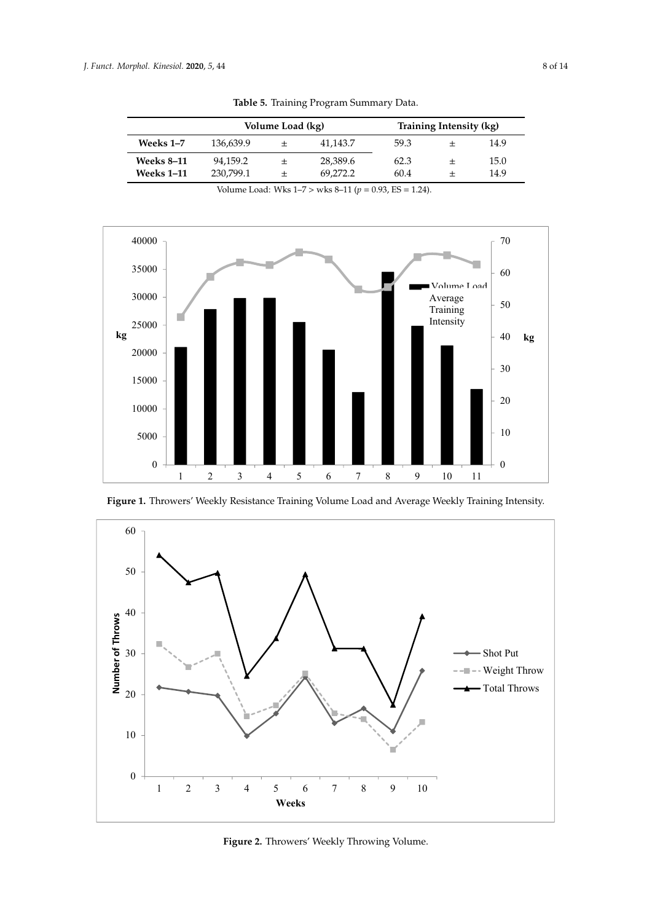<span id="page-9-0"></span>

|                   |           | Volume Load (kg) |          |      | Training Intensity (kg) |      |
|-------------------|-----------|------------------|----------|------|-------------------------|------|
| Weeks 1–7         | 136.639.9 | 士                | 41,143.7 | 59.3 |                         | 14.9 |
| <b>Weeks 8–11</b> | 94,159.2  | 士                | 28,389.6 | 62.3 |                         | 15.0 |
| <b>Weeks 1–11</b> | 230.799.1 | 士                | 69.272.2 | 60.4 |                         | 14.9 |

**Table 5.** Training Program Summary Data.

<span id="page-9-1"></span>

<span id="page-9-2"></span>

**Figure 1.** Throwers' Weekly Resistance Training Volume Load and Average Weekly Training **Figure 1.** Throwers' Weekly Resistance Training Volume Load and Average Weekly Training Intensity. Intensity.

**Figure 2.** Throwers' Weekly Throwing Volume. **Figure 2.** Throwers' Weekly Throwing Volume. **Figure 2.** Throwers' Weekly Throwing Volume.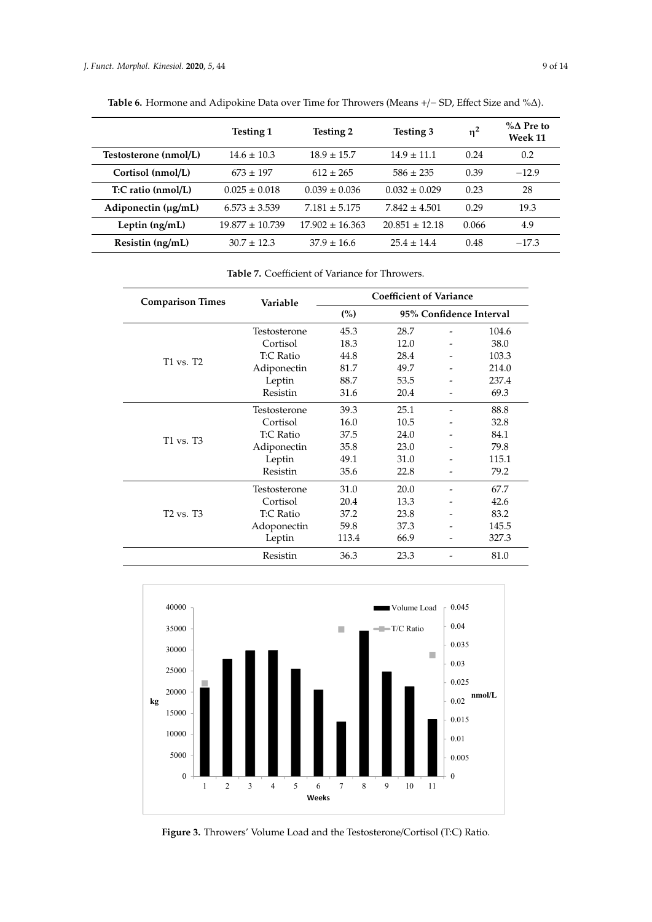|                          | <b>Testing 1</b>    | <b>Testing 2</b>    | Testing 3          | $\eta^2$ | $\%$ A Pre to<br>Week 11 |
|--------------------------|---------------------|---------------------|--------------------|----------|--------------------------|
| Testosterone (nmol/L)    | $14.6 \pm 10.3$     | $18.9 \pm 15.7$     | $14.9 \pm 11.1$    | 0.24     | 0.2                      |
| Cortisol (nmol/L)        | $673 + 197$         | $612 \pm 265$       | $586 \pm 235$      | 0.39     | $-12.9$                  |
| T:C ratio (nmol/L)       | $0.025 \pm 0.018$   | $0.039 \pm 0.036$   | $0.032 \pm 0.029$  | 0.23     | 28                       |
| Adiponectin $(\mu g/mL)$ | $6.573 \pm 3.539$   | $7.181 \pm 5.175$   | $7.842 \pm 4.501$  | 0.29     | 19.3                     |
| Leptin $(ng/mL)$         | $19.877 \pm 10.739$ | $17.902 \pm 16.363$ | $20.851 \pm 12.18$ | 0.066    | 4.9                      |
| Resistin (ng/mL)         | $30.7 + 12.3$       | $37.9 \pm 16.6$     | $25.4 + 14.4$      | 0.48     | $-17.3$                  |

<span id="page-10-0"></span>**Table 6.** Hormone and Adipokine Data over Time for Throwers (Means +/− SD, Effect Size and %∆).

**Table 7.** Coefficient of Variance for Throwers.

<span id="page-10-1"></span>

| <b>Comparison Times</b>           | Variable     | <b>Coefficient of Variance</b> |                         |  |       |
|-----------------------------------|--------------|--------------------------------|-------------------------|--|-------|
|                                   |              | (%)                            | 95% Confidence Interval |  |       |
|                                   | Testosterone | 45.3                           | 28.7                    |  | 104.6 |
|                                   | Cortisol     | 18.3                           | 12.0                    |  | 38.0  |
| T1 vs. T2                         | T:C Ratio    | 44.8                           | 28.4                    |  | 103.3 |
|                                   | Adiponectin  | 81.7                           | 49.7                    |  | 214.0 |
|                                   | Leptin       | 88.7                           | 53.5                    |  | 237.4 |
|                                   | Resistin     | 31.6                           | 20.4                    |  | 69.3  |
|                                   | Testosterone | 39.3                           | 25.1                    |  | 88.8  |
|                                   | Cortisol     | 16.0                           | 10.5                    |  | 32.8  |
| T1 vs. T3                         | T:C Ratio    | 37.5                           | 24.0                    |  | 84.1  |
|                                   | Adiponectin  | 35.8                           | 23.0                    |  | 79.8  |
|                                   | Leptin       | 49.1                           | 31.0                    |  | 115.1 |
|                                   | Resistin     | 35.6                           | 22.8                    |  | 79.2  |
| T <sub>2</sub> vs. T <sub>3</sub> | Testosterone | 31.0                           | 20.0                    |  | 67.7  |
|                                   | Cortisol     | 20.4                           | 13.3                    |  | 42.6  |
|                                   | T:C Ratio    | 37.2                           | 23.8                    |  | 83.2  |
|                                   | Adoponectin  | 59.8                           | 37.3                    |  | 145.5 |
|                                   | Leptin       | 113.4                          | 66.9                    |  | 327.3 |
|                                   | Resistin     | 36.3                           | 23.3                    |  | 81.0  |

<span id="page-10-2"></span>

**Figure 3.** Throwers' Volume Load and the Testosterone/Cortisol (T:C) Ratio. **Figure 3.** Throwers' Volume Load and the Testosterone/Cortisol (T:C) Ratio.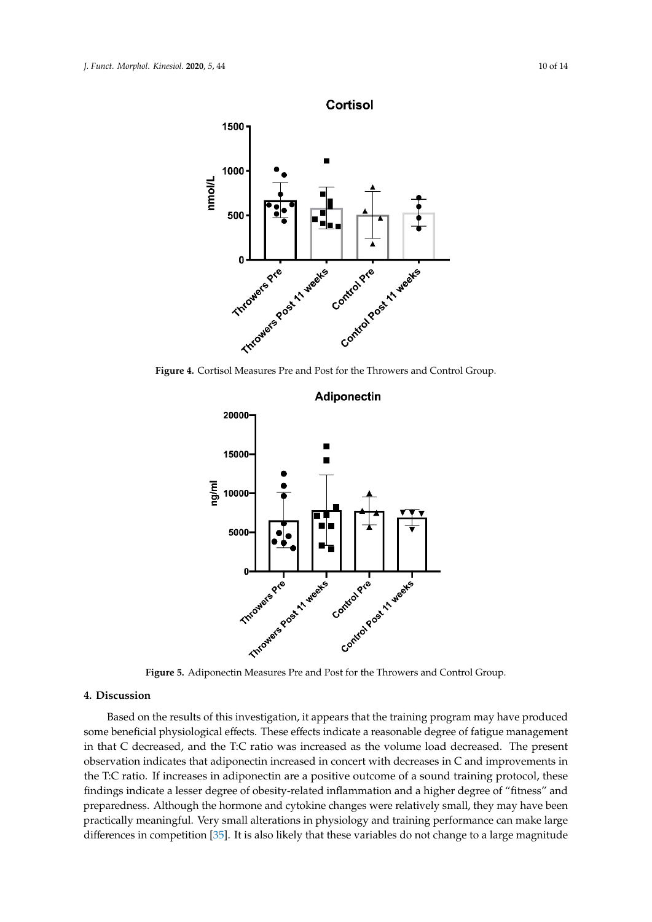<span id="page-11-0"></span>

<span id="page-11-1"></span>Figure 4. Cortisol Measures Pre and Post for the Throwers and Control Group.



## **4. Discussion**

**Based on the results of this investigation, it appears that the training program may have produced** some beneficial physiological effects. These effects indicate a reasonable degree of fatigue management<br>in that C decreased, and the T·C ratio was increased as the volume load decreased. The present **(%) 95% Confidence Interval**  in that C decreased, and the T:C ratio was increased as the volume load decreased. The present preparedness. Although the hormone and cytokine changes were relatively small, they may have been  $\,$  observation indicates that adiponectin increased in concert with decreases in  $C$  and improvements in the T:C ratio. If increases in adiponectin are a positive outcome of a sound training protocol, these findings indicate a lesser degree of obesity-related inflammation and a higher degree of "fitness" and practically meaningful. Very small alterations in physiology and training performance can make large differences in competition [\[35\]](#page-15-0). It is also likely that these variables do not change to a large magnitude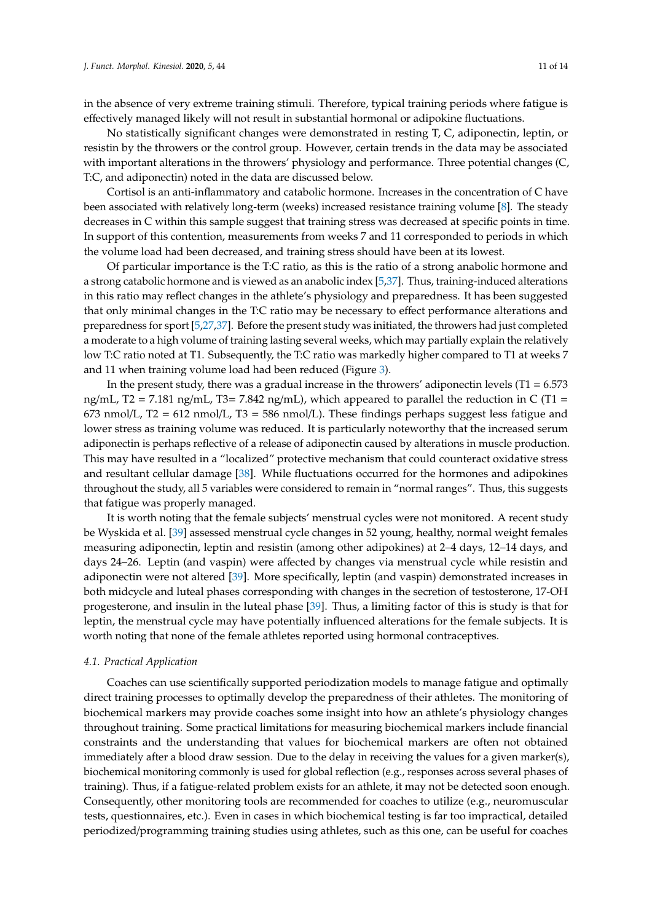in the absence of very extreme training stimuli. Therefore, typical training periods where fatigue is effectively managed likely will not result in substantial hormonal or adipokine fluctuations.

No statistically significant changes were demonstrated in resting T, C, adiponectin, leptin, or resistin by the throwers or the control group. However, certain trends in the data may be associated with important alterations in the throwers' physiology and performance. Three potential changes (C, T:C, and adiponectin) noted in the data are discussed below.

Cortisol is an anti-inflammatory and catabolic hormone. Increases in the concentration of C have been associated with relatively long-term (weeks) increased resistance training volume [\[8\]](#page-13-6). The steady decreases in C within this sample suggest that training stress was decreased at specific points in time. In support of this contention, measurements from weeks 7 and 11 corresponded to periods in which the volume load had been decreased, and training stress should have been at its lowest.

Of particular importance is the T:C ratio, as this is the ratio of a strong anabolic hormone and a strong catabolic hormone and is viewed as an anabolic index [\[5,](#page-13-4)[37\]](#page-15-2). Thus, training-induced alterations in this ratio may reflect changes in the athlete's physiology and preparedness. It has been suggested that only minimal changes in the T:C ratio may be necessary to effect performance alterations and preparedness for sport [\[5](#page-13-4)[,27](#page-14-13)[,37\]](#page-15-2). Before the present study was initiated, the throwers had just completed a moderate to a high volume of training lasting several weeks, which may partially explain the relatively low T:C ratio noted at T1. Subsequently, the T:C ratio was markedly higher compared to T1 at weeks 7 and 11 when training volume load had been reduced (Figure [3\)](#page-10-2).

In the present study, there was a gradual increase in the throwers' adiponectin levels  $(T1 = 6.573)$ ng/mL, T2 = 7.181 ng/mL, T3= 7.842 ng/mL), which appeared to parallel the reduction in C (T1 = 673 nmol/L, T2 = 612 nmol/L, T3 = 586 nmol/L). These findings perhaps suggest less fatigue and lower stress as training volume was reduced. It is particularly noteworthy that the increased serum adiponectin is perhaps reflective of a release of adiponectin caused by alterations in muscle production. This may have resulted in a "localized" protective mechanism that could counteract oxidative stress and resultant cellular damage [\[38\]](#page-15-3). While fluctuations occurred for the hormones and adipokines throughout the study, all 5 variables were considered to remain in "normal ranges". Thus, this suggests that fatigue was properly managed.

It is worth noting that the female subjects' menstrual cycles were not monitored. A recent study be Wyskida et al. [\[39\]](#page-15-4) assessed menstrual cycle changes in 52 young, healthy, normal weight females measuring adiponectin, leptin and resistin (among other adipokines) at 2–4 days, 12–14 days, and days 24–26. Leptin (and vaspin) were affected by changes via menstrual cycle while resistin and adiponectin were not altered [\[39\]](#page-15-4). More specifically, leptin (and vaspin) demonstrated increases in both midcycle and luteal phases corresponding with changes in the secretion of testosterone, 17-OH progesterone, and insulin in the luteal phase [\[39\]](#page-15-4). Thus, a limiting factor of this is study is that for leptin, the menstrual cycle may have potentially influenced alterations for the female subjects. It is worth noting that none of the female athletes reported using hormonal contraceptives.

#### *4.1. Practical Application*

Coaches can use scientifically supported periodization models to manage fatigue and optimally direct training processes to optimally develop the preparedness of their athletes. The monitoring of biochemical markers may provide coaches some insight into how an athlete's physiology changes throughout training. Some practical limitations for measuring biochemical markers include financial constraints and the understanding that values for biochemical markers are often not obtained immediately after a blood draw session. Due to the delay in receiving the values for a given marker(s), biochemical monitoring commonly is used for global reflection (e.g., responses across several phases of training). Thus, if a fatigue-related problem exists for an athlete, it may not be detected soon enough. Consequently, other monitoring tools are recommended for coaches to utilize (e.g., neuromuscular tests, questionnaires, etc.). Even in cases in which biochemical testing is far too impractical, detailed periodized/programming training studies using athletes, such as this one, can be useful for coaches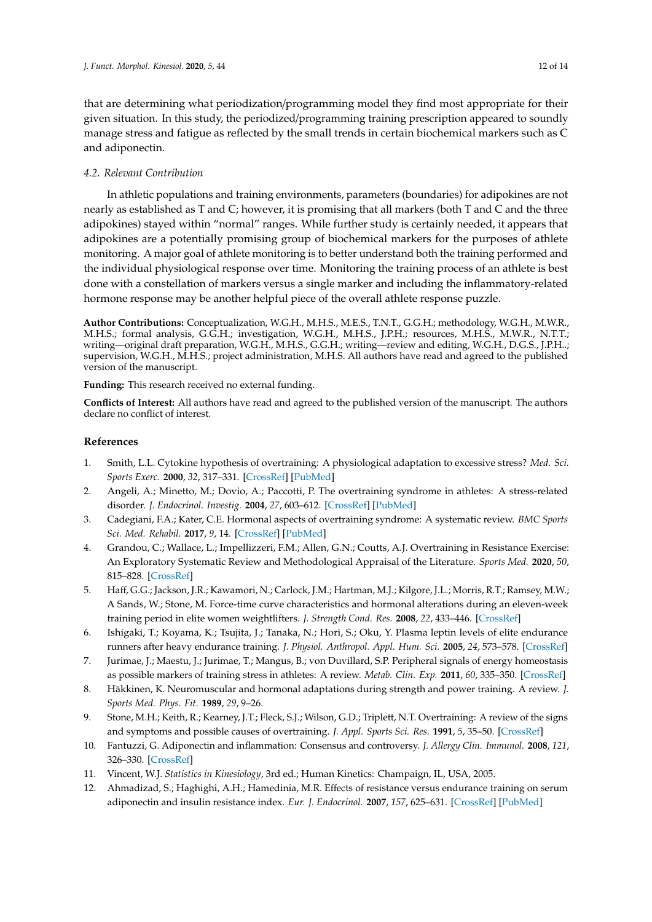that are determining what periodization/programming model they find most appropriate for their given situation. In this study, the periodized/programming training prescription appeared to soundly manage stress and fatigue as reflected by the small trends in certain biochemical markers such as C and adiponectin.

## *4.2. Relevant Contribution*

In athletic populations and training environments, parameters (boundaries) for adipokines are not nearly as established as T and C; however, it is promising that all markers (both T and C and the three adipokines) stayed within "normal" ranges. While further study is certainly needed, it appears that adipokines are a potentially promising group of biochemical markers for the purposes of athlete monitoring. A major goal of athlete monitoring is to better understand both the training performed and the individual physiological response over time. Monitoring the training process of an athlete is best done with a constellation of markers versus a single marker and including the inflammatory-related hormone response may be another helpful piece of the overall athlete response puzzle.

**Author Contributions:** Conceptualization, W.G.H., M.H.S., M.E.S., T.N.T., G.G.H.; methodology, W.G.H., M.W.R., M.H.S.; formal analysis, G.G.H.; investigation, W.G.H., M.H.S., J.P.H.; resources, M.H.S., M.W.R., N.T.T.; writing—original draft preparation, W.G.H., M.H.S., G.G.H.; writing—review and editing, W.G.H., D.G.S., J.P.H..; supervision, W.G.H., M.H.S.; project administration, M.H.S. All authors have read and agreed to the published version of the manuscript.

**Funding:** This research received no external funding.

**Conflicts of Interest:** All authors have read and agreed to the published version of the manuscript. The authors declare no conflict of interest.

## **References**

- <span id="page-13-0"></span>1. Smith, L.L. Cytokine hypothesis of overtraining: A physiological adaptation to excessive stress? *Med. Sci. Sports Exerc.* **2000**, *32*, 317–331. [\[CrossRef\]](http://dx.doi.org/10.1097/00005768-200002000-00011) [\[PubMed\]](http://www.ncbi.nlm.nih.gov/pubmed/10694113)
- <span id="page-13-1"></span>2. Angeli, A.; Minetto, M.; Dovio, A.; Paccotti, P. The overtraining syndrome in athletes: A stress-related disorder. *J. Endocrinol. Investig.* **2004**, *27*, 603–612. [\[CrossRef\]](http://dx.doi.org/10.1007/BF03347487) [\[PubMed\]](http://www.ncbi.nlm.nih.gov/pubmed/15717662)
- <span id="page-13-2"></span>3. Cadegiani, F.A.; Kater, C.E. Hormonal aspects of overtraining syndrome: A systematic review. *BMC Sports Sci. Med. Rehabil.* **2017**, *9*, 14. [\[CrossRef\]](http://dx.doi.org/10.1186/s13102-017-0079-8) [\[PubMed\]](http://www.ncbi.nlm.nih.gov/pubmed/28785411)
- <span id="page-13-3"></span>4. Grandou, C.; Wallace, L.; Impellizzeri, F.M.; Allen, G.N.; Coutts, A.J. Overtraining in Resistance Exercise: An Exploratory Systematic Review and Methodological Appraisal of the Literature. *Sports Med.* **2020**, *50*, 815–828. [\[CrossRef\]](http://dx.doi.org/10.1007/s40279-019-01242-2)
- <span id="page-13-4"></span>5. Haff, G.G.; Jackson, J.R.; Kawamori, N.; Carlock, J.M.; Hartman, M.J.; Kilgore, J.L.; Morris, R.T.; Ramsey, M.W.; A Sands, W.; Stone, M. Force-time curve characteristics and hormonal alterations during an eleven-week training period in elite women weightlifters. *J. Strength Cond. Res.* **2008**, *22*, 433–446. [\[CrossRef\]](http://dx.doi.org/10.1519/JSC.0b013e31816191be)
- 6. Ishigaki, T.; Koyama, K.; Tsujita, J.; Tanaka, N.; Hori, S.; Oku, Y. Plasma leptin levels of elite endurance runners after heavy endurance training. *J. Physiol. Anthropol. Appl. Hum. Sci.* **2005**, *24*, 573–578. [\[CrossRef\]](http://dx.doi.org/10.2114/jpa.24.573)
- <span id="page-13-5"></span>7. Jurimae, J.; Maestu, J.; Jurimae, T.; Mangus, B.; von Duvillard, S.P. Peripheral signals of energy homeostasis as possible markers of training stress in athletes: A review. *Metab. Clin. Exp.* **2011**, *60*, 335–350. [\[CrossRef\]](http://dx.doi.org/10.1016/j.metabol.2010.02.009)
- <span id="page-13-6"></span>8. Häkkinen, K. Neuromuscular and hormonal adaptations during strength and power training. A review. *J. Sports Med. Phys. Fit.* **1989**, *29*, 9–26.
- <span id="page-13-7"></span>9. Stone, M.H.; Keith, R.; Kearney, J.T.; Fleck, S.J.; Wilson, G.D.; Triplett, N.T. Overtraining: A review of the signs and symptoms and possible causes of overtraining. *J. Appl. Sports Sci. Res.* **1991**, *5*, 35–50. [\[CrossRef\]](http://dx.doi.org/10.1519/00124278-199102000-00006)
- <span id="page-13-8"></span>10. Fantuzzi, G. Adiponectin and inflammation: Consensus and controversy. *J. Allergy Clin. Immunol.* **2008**, *121*, 326–330. [\[CrossRef\]](http://dx.doi.org/10.1016/j.jaci.2007.10.018)
- <span id="page-13-9"></span>11. Vincent, W.J. *Statistics in Kinesiology*, 3rd ed.; Human Kinetics: Champaign, IL, USA, 2005.
- <span id="page-13-10"></span>12. Ahmadizad, S.; Haghighi, A.H.; Hamedinia, M.R. Effects of resistance versus endurance training on serum adiponectin and insulin resistance index. *Eur. J. Endocrinol.* **2007**, *157*, 625–631. [\[CrossRef\]](http://dx.doi.org/10.1530/EJE-07-0223) [\[PubMed\]](http://www.ncbi.nlm.nih.gov/pubmed/17984242)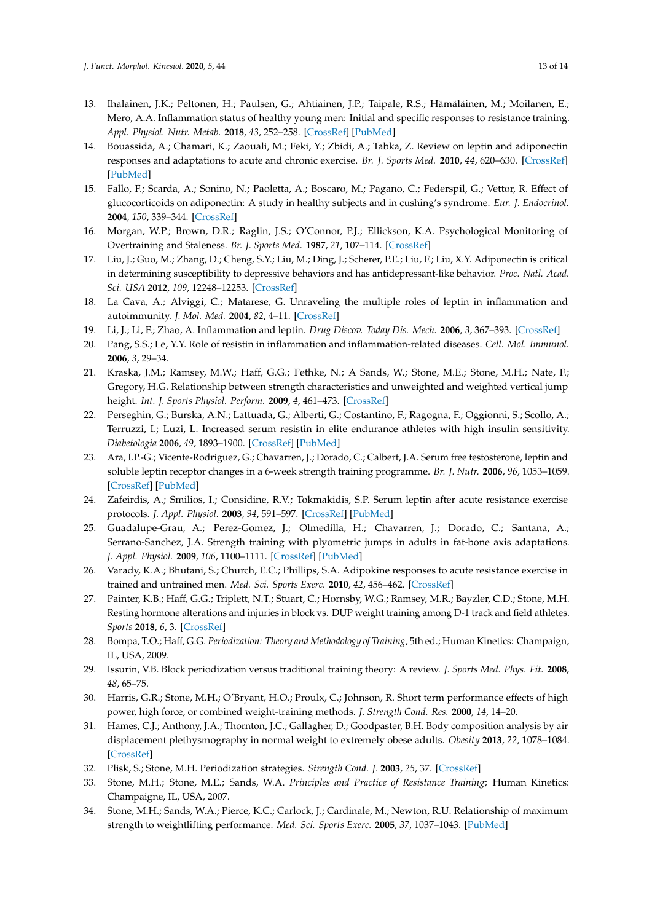- <span id="page-14-0"></span>13. Ihalainen, J.K.; Peltonen, H.; Paulsen, G.; Ahtiainen, J.P.; Taipale, R.S.; Hämäläinen, M.; Moilanen, E.; Mero, A.A. Inflammation status of healthy young men: Initial and specific responses to resistance training. *Appl. Physiol. Nutr. Metab.* **2018**, *43*, 252–258. [\[CrossRef\]](http://dx.doi.org/10.1139/apnm-2017-0315) [\[PubMed\]](http://www.ncbi.nlm.nih.gov/pubmed/29053943)
- <span id="page-14-1"></span>14. Bouassida, A.; Chamari, K.; Zaouali, M.; Feki, Y.; Zbidi, A.; Tabka, Z. Review on leptin and adiponectin responses and adaptations to acute and chronic exercise. *Br. J. Sports Med.* **2010**, *44*, 620–630. [\[CrossRef\]](http://dx.doi.org/10.1136/bjsm.2008.046151) [\[PubMed\]](http://www.ncbi.nlm.nih.gov/pubmed/18927166)
- <span id="page-14-2"></span>15. Fallo, F.; Scarda, A.; Sonino, N.; Paoletta, A.; Boscaro, M.; Pagano, C.; Federspil, G.; Vettor, R. Effect of glucocorticoids on adiponectin: A study in healthy subjects and in cushing's syndrome. *Eur. J. Endocrinol.* **2004**, *150*, 339–344. [\[CrossRef\]](http://dx.doi.org/10.1530/eje.0.1500339)
- <span id="page-14-3"></span>16. Morgan, W.P.; Brown, D.R.; Raglin, J.S.; O'Connor, P.J.; Ellickson, K.A. Psychological Monitoring of Overtraining and Staleness. *Br. J. Sports Med.* **1987**, *21*, 107–114. [\[CrossRef\]](http://dx.doi.org/10.1136/bjsm.21.3.107)
- <span id="page-14-4"></span>17. Liu, J.; Guo, M.; Zhang, D.; Cheng, S.Y.; Liu, M.; Ding, J.; Scherer, P.E.; Liu, F.; Liu, X.Y. Adiponectin is critical in determining susceptibility to depressive behaviors and has antidepressant-like behavior. *Proc. Natl. Acad. Sci. USA* **2012**, *109*, 12248–12253. [\[CrossRef\]](http://dx.doi.org/10.1073/pnas.1202835109)
- <span id="page-14-5"></span>18. La Cava, A.; Alviggi, C.; Matarese, G. Unraveling the multiple roles of leptin in inflammation and autoimmunity. *J. Mol. Med.* **2004**, *82*, 4–11. [\[CrossRef\]](http://dx.doi.org/10.1007/s00109-003-0492-1)
- 19. Li, J.; Li, F.; Zhao, A. Inflammation and leptin. *Drug Discov. Today Dis. Mech.* **2006**, *3*, 367–393. [\[CrossRef\]](http://dx.doi.org/10.1016/j.ddmec.2006.09.003)
- <span id="page-14-6"></span>20. Pang, S.S.; Le, Y.Y. Role of resistin in inflammation and inflammation-related diseases. *Cell. Mol. Immunol.* **2006**, *3*, 29–34.
- <span id="page-14-7"></span>21. Kraska, J.M.; Ramsey, M.W.; Haff, G.G.; Fethke, N.; A Sands, W.; Stone, M.E.; Stone, M.H.; Nate, F.; Gregory, H.G. Relationship between strength characteristics and unweighted and weighted vertical jump height. *Int. J. Sports Physiol. Perform.* **2009**, *4*, 461–473. [\[CrossRef\]](http://dx.doi.org/10.1123/ijspp.4.4.461)
- <span id="page-14-8"></span>22. Perseghin, G.; Burska, A.N.; Lattuada, G.; Alberti, G.; Costantino, F.; Ragogna, F.; Oggionni, S.; Scollo, A.; Terruzzi, I.; Luzi, L. Increased serum resistin in elite endurance athletes with high insulin sensitivity. *Diabetologia* **2006**, *49*, 1893–1900. [\[CrossRef\]](http://dx.doi.org/10.1007/s00125-006-0267-7) [\[PubMed\]](http://www.ncbi.nlm.nih.gov/pubmed/16685503)
- <span id="page-14-9"></span>23. Ara, I.P.-G.; Vicente-Rodriguez, G.; Chavarren, J.; Dorado, C.; Calbert, J.A. Serum free testosterone, leptin and soluble leptin receptor changes in a 6-week strength training programme. *Br. J. Nutr.* **2006**, *96*, 1053–1059. [\[CrossRef\]](http://dx.doi.org/10.1017/BJN20061956) [\[PubMed\]](http://www.ncbi.nlm.nih.gov/pubmed/17181880)
- <span id="page-14-10"></span>24. Zafeirdis, A.; Smilios, I.; Considine, R.V.; Tokmakidis, S.P. Serum leptin after acute resistance exercise protocols. *J. Appl. Physiol.* **2003**, *94*, 591–597. [\[CrossRef\]](http://dx.doi.org/10.1152/japplphysiol.00330.2002) [\[PubMed\]](http://www.ncbi.nlm.nih.gov/pubmed/12391130)
- <span id="page-14-11"></span>25. Guadalupe-Grau, A.; Perez-Gomez, J.; Olmedilla, H.; Chavarren, J.; Dorado, C.; Santana, A.; Serrano-Sanchez, J.A. Strength training with plyometric jumps in adults in fat-bone axis adaptations. *J. Appl. Physiol.* **2009**, *106*, 1100–1111. [\[CrossRef\]](http://dx.doi.org/10.1152/japplphysiol.91469.2008) [\[PubMed\]](http://www.ncbi.nlm.nih.gov/pubmed/19196911)
- <span id="page-14-12"></span>26. Varady, K.A.; Bhutani, S.; Church, E.C.; Phillips, S.A. Adipokine responses to acute resistance exercise in trained and untrained men. *Med. Sci. Sports Exerc.* **2010**, *42*, 456–462. [\[CrossRef\]](http://dx.doi.org/10.1249/MSS.0b013e3181ba6dd3)
- <span id="page-14-13"></span>27. Painter, K.B.; Haff, G.G.; Triplett, N.T.; Stuart, C.; Hornsby, W.G.; Ramsey, M.R.; Bayzler, C.D.; Stone, M.H. Resting hormone alterations and injuries in block vs. DUP weight training among D-1 track and field athletes. *Sports* **2018**, *6*, 3. [\[CrossRef\]](http://dx.doi.org/10.3390/sports6010003)
- <span id="page-14-14"></span>28. Bompa, T.O.; Haff, G.G. *Periodization: Theory and Methodology of Training*, 5th ed.; Human Kinetics: Champaign, IL, USA, 2009.
- <span id="page-14-20"></span>29. Issurin, V.B. Block periodization versus traditional training theory: A review. *J. Sports Med. Phys. Fit.* **2008**, *48*, 65–75.
- <span id="page-14-15"></span>30. Harris, G.R.; Stone, M.H.; O'Bryant, H.O.; Proulx, C.; Johnson, R. Short term performance effects of high power, high force, or combined weight-training methods. *J. Strength Cond. Res.* **2000**, *14*, 14–20.
- <span id="page-14-16"></span>31. Hames, C.J.; Anthony, J.A.; Thornton, J.C.; Gallagher, D.; Goodpaster, B.H. Body composition analysis by air displacement plethysmography in normal weight to extremely obese adults. *Obesity* **2013**, *22*, 1078–1084. [\[CrossRef\]](http://dx.doi.org/10.1002/oby.20655)
- <span id="page-14-17"></span>32. Plisk, S.; Stone, M.H. Periodization strategies. *Strength Cond. J.* **2003**, *25*, 37. [\[CrossRef\]](http://dx.doi.org/10.1519/00126548-200312000-00005)
- <span id="page-14-18"></span>33. Stone, M.H.; Stone, M.E.; Sands, W.A. *Principles and Practice of Resistance Training*; Human Kinetics: Champaigne, IL, USA, 2007.
- <span id="page-14-19"></span>34. Stone, M.H.; Sands, W.A.; Pierce, K.C.; Carlock, J.; Cardinale, M.; Newton, R.U. Relationship of maximum strength to weightlifting performance. *Med. Sci. Sports Exerc.* **2005**, *37*, 1037–1043. [\[PubMed\]](http://www.ncbi.nlm.nih.gov/pubmed/15947731)